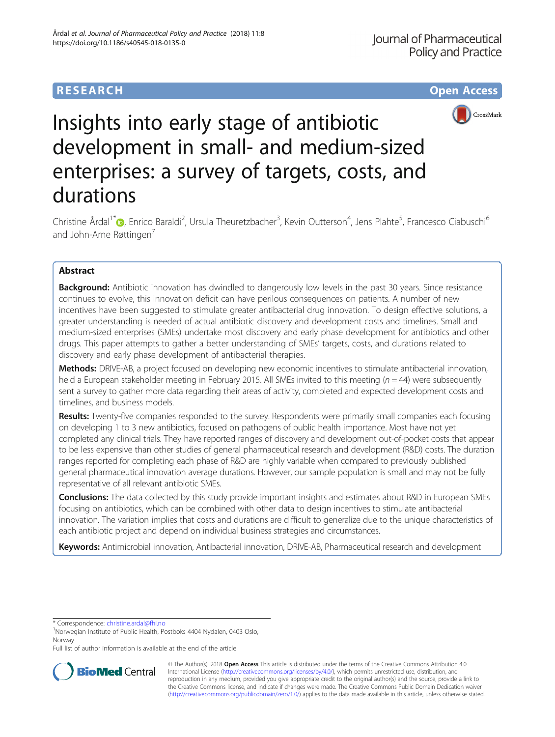

# Insights into early stage of antibiotic development in small- and medium-sized enterprises: a survey of targets, costs, and durations

Christine Årdal<sup>1\*</sup>®, Enrico Baraldi<sup>2</sup>, Ursula Theuretzbacher<sup>3</sup>, Kevin Outterson<sup>4</sup>, Jens Plahte<sup>5</sup>, Francesco Ciabuschi<sup>6</sup> and John-Arne Røttingen<sup>7</sup>

# Abstract

Background: Antibiotic innovation has dwindled to dangerously low levels in the past 30 years. Since resistance continues to evolve, this innovation deficit can have perilous consequences on patients. A number of new incentives have been suggested to stimulate greater antibacterial drug innovation. To design effective solutions, a greater understanding is needed of actual antibiotic discovery and development costs and timelines. Small and medium-sized enterprises (SMEs) undertake most discovery and early phase development for antibiotics and other drugs. This paper attempts to gather a better understanding of SMEs' targets, costs, and durations related to discovery and early phase development of antibacterial therapies.

Methods: DRIVE-AB, a project focused on developing new economic incentives to stimulate antibacterial innovation, held a European stakeholder meeting in February 2015. All SMEs invited to this meeting ( $n = 44$ ) were subsequently sent a survey to gather more data regarding their areas of activity, completed and expected development costs and timelines, and business models.

Results: Twenty-five companies responded to the survey. Respondents were primarily small companies each focusing on developing 1 to 3 new antibiotics, focused on pathogens of public health importance. Most have not yet completed any clinical trials. They have reported ranges of discovery and development out-of-pocket costs that appear to be less expensive than other studies of general pharmaceutical research and development (R&D) costs. The duration ranges reported for completing each phase of R&D are highly variable when compared to previously published general pharmaceutical innovation average durations. However, our sample population is small and may not be fully representative of all relevant antibiotic SMEs.

Conclusions: The data collected by this study provide important insights and estimates about R&D in European SMEs focusing on antibiotics, which can be combined with other data to design incentives to stimulate antibacterial innovation. The variation implies that costs and durations are difficult to generalize due to the unique characteristics of each antibiotic project and depend on individual business strategies and circumstances.

Keywords: Antimicrobial innovation, Antibacterial innovation, DRIVE-AB, Pharmaceutical research and development

\* Correspondence: [christine.ardal@fhi.no](mailto:christine.ardal@fhi.no) <sup>1</sup>

<sup>1</sup>Norwegian Institute of Public Health, Postboks 4404 Nydalen, 0403 Oslo, Norway

Full list of author information is available at the end of the article



© The Author(s). 2018 Open Access This article is distributed under the terms of the Creative Commons Attribution 4.0 International License [\(http://creativecommons.org/licenses/by/4.0/](http://creativecommons.org/licenses/by/4.0/)), which permits unrestricted use, distribution, and reproduction in any medium, provided you give appropriate credit to the original author(s) and the source, provide a link to the Creative Commons license, and indicate if changes were made. The Creative Commons Public Domain Dedication waiver [\(http://creativecommons.org/publicdomain/zero/1.0/](http://creativecommons.org/publicdomain/zero/1.0/)) applies to the data made available in this article, unless otherwise stated.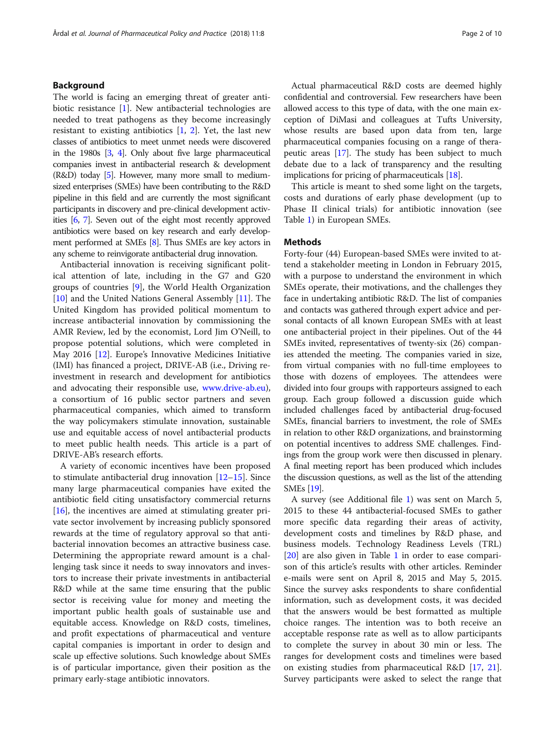# Background

The world is facing an emerging threat of greater anti-biotic resistance [\[1](#page-8-0)]. New antibacterial technologies are needed to treat pathogens as they become increasingly resistant to existing antibiotics [[1,](#page-8-0) [2\]](#page-8-0). Yet, the last new classes of antibiotics to meet unmet needs were discovered in the 1980s [\[3,](#page-8-0) [4\]](#page-8-0). Only about five large pharmaceutical companies invest in antibacterial research & development (R&D) today [\[5](#page-8-0)]. However, many more small to mediumsized enterprises (SMEs) have been contributing to the R&D pipeline in this field and are currently the most significant participants in discovery and pre-clinical development activities [\[6,](#page-8-0) [7](#page-8-0)]. Seven out of the eight most recently approved antibiotics were based on key research and early development performed at SMEs [\[8\]](#page-8-0). Thus SMEs are key actors in any scheme to reinvigorate antibacterial drug innovation.

Antibacterial innovation is receiving significant political attention of late, including in the G7 and G20 groups of countries [[9\]](#page-8-0), the World Health Organization [[10\]](#page-8-0) and the United Nations General Assembly [\[11](#page-8-0)]. The United Kingdom has provided political momentum to increase antibacterial innovation by commissioning the AMR Review, led by the economist, Lord Jim O'Neill, to propose potential solutions, which were completed in May 2016 [\[12\]](#page-8-0). Europe's Innovative Medicines Initiative (IMI) has financed a project, DRIVE-AB (i.e., Driving reinvestment in research and development for antibiotics and advocating their responsible use, [www.drive-ab.eu](http://www.drive-ab.eu)), a consortium of 16 public sector partners and seven pharmaceutical companies, which aimed to transform the way policymakers stimulate innovation, sustainable use and equitable access of novel antibacterial products to meet public health needs. This article is a part of DRIVE-AB's research efforts.

A variety of economic incentives have been proposed to stimulate antibacterial drug innovation [[12](#page-8-0)–[15](#page-8-0)]. Since many large pharmaceutical companies have exited the antibiotic field citing unsatisfactory commercial returns [[16\]](#page-8-0), the incentives are aimed at stimulating greater private sector involvement by increasing publicly sponsored rewards at the time of regulatory approval so that antibacterial innovation becomes an attractive business case. Determining the appropriate reward amount is a challenging task since it needs to sway innovators and investors to increase their private investments in antibacterial R&D while at the same time ensuring that the public sector is receiving value for money and meeting the important public health goals of sustainable use and equitable access. Knowledge on R&D costs, timelines, and profit expectations of pharmaceutical and venture capital companies is important in order to design and scale up effective solutions. Such knowledge about SMEs is of particular importance, given their position as the primary early-stage antibiotic innovators.

Actual pharmaceutical R&D costs are deemed highly confidential and controversial. Few researchers have been allowed access to this type of data, with the one main exception of DiMasi and colleagues at Tufts University, whose results are based upon data from ten, large pharmaceutical companies focusing on a range of therapeutic areas [\[17\]](#page-9-0). The study has been subject to much debate due to a lack of transparency and the resulting implications for pricing of pharmaceuticals [[18](#page-9-0)].

This article is meant to shed some light on the targets, costs and durations of early phase development (up to Phase II clinical trials) for antibiotic innovation (see Table [1\)](#page-2-0) in European SMEs.

# **Methods**

Forty-four (44) European-based SMEs were invited to attend a stakeholder meeting in London in February 2015, with a purpose to understand the environment in which SMEs operate, their motivations, and the challenges they face in undertaking antibiotic R&D. The list of companies and contacts was gathered through expert advice and personal contacts of all known European SMEs with at least one antibacterial project in their pipelines. Out of the 44 SMEs invited, representatives of twenty-six (26) companies attended the meeting. The companies varied in size, from virtual companies with no full-time employees to those with dozens of employees. The attendees were divided into four groups with rapporteurs assigned to each group. Each group followed a discussion guide which included challenges faced by antibacterial drug-focused SMEs, financial barriers to investment, the role of SMEs in relation to other R&D organizations, and brainstorming on potential incentives to address SME challenges. Findings from the group work were then discussed in plenary. A final meeting report has been produced which includes the discussion questions, as well as the list of the attending SMEs [\[19](#page-9-0)].

A survey (see Additional file [1\)](#page-8-0) was sent on March 5, 2015 to these 44 antibacterial-focused SMEs to gather more specific data regarding their areas of activity, development costs and timelines by R&D phase, and business models. Technology Readiness Levels (TRL) [[20\]](#page-9-0) are also given in Table [1](#page-2-0) in order to ease comparison of this article's results with other articles. Reminder e-mails were sent on April 8, 2015 and May 5, 2015. Since the survey asks respondents to share confidential information, such as development costs, it was decided that the answers would be best formatted as multiple choice ranges. The intention was to both receive an acceptable response rate as well as to allow participants to complete the survey in about 30 min or less. The ranges for development costs and timelines were based on existing studies from pharmaceutical R&D [\[17,](#page-9-0) [21](#page-9-0)]. Survey participants were asked to select the range that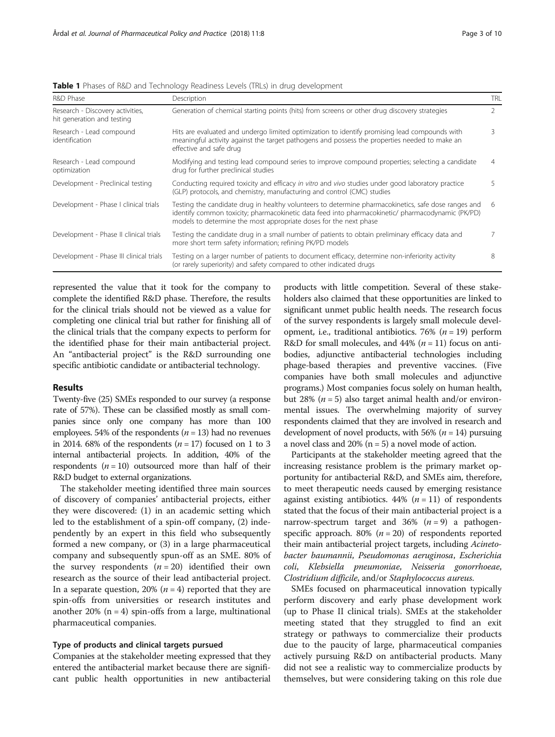| R&D Phase                                                      | Description                                                                                                                                                                                                                                                                    | TRL |
|----------------------------------------------------------------|--------------------------------------------------------------------------------------------------------------------------------------------------------------------------------------------------------------------------------------------------------------------------------|-----|
| Research - Discovery activities,<br>hit generation and testing | Generation of chemical starting points (hits) from screens or other drug discovery strategies                                                                                                                                                                                  |     |
| Research - Lead compound<br>identification                     | Hits are evaluated and undergo limited optimization to identify promising lead compounds with<br>meaningful activity against the target pathogens and possess the properties needed to make an<br>effective and safe drug                                                      |     |
| Research - Lead compound<br>optimization                       | Modifying and testing lead compound series to improve compound properties; selecting a candidate<br>drug for further preclinical studies                                                                                                                                       | 4   |
| Development - Preclinical testing                              | Conducting required toxicity and efficacy in vitro and vivo studies under good laboratory practice<br>(GLP) protocols, and chemistry, manufacturing and control (CMC) studies                                                                                                  |     |
| Development - Phase I clinical trials                          | Testing the candidate drug in healthy volunteers to determine pharmacokinetics, safe dose ranges and<br>identify common toxicity; pharmacokinetic data feed into pharmacokinetic/ pharmacodynamic (PK/PD)<br>models to determine the most appropriate doses for the next phase | 6   |
| Development - Phase II clinical trials                         | Testing the candidate drug in a small number of patients to obtain preliminary efficacy data and<br>more short term safety information; refining PK/PD models                                                                                                                  |     |
| Development - Phase III clinical trials                        | Testing on a larger number of patients to document efficacy, determine non-inferiority activity<br>(or rarely superiority) and safety compared to other indicated drugs                                                                                                        | 8   |

<span id="page-2-0"></span>Table 1 Phases of R&D and Technology Readiness Levels (TRLs) in drug development

represented the value that it took for the company to complete the identified R&D phase. Therefore, the results for the clinical trials should not be viewed as a value for completing one clinical trial but rather for finishing all of the clinical trials that the company expects to perform for the identified phase for their main antibacterial project. An "antibacterial project" is the R&D surrounding one specific antibiotic candidate or antibacterial technology.

## Results

Twenty-five (25) SMEs responded to our survey (a response rate of 57%). These can be classified mostly as small companies since only one company has more than 100 employees. 54% of the respondents ( $n = 13$ ) had no revenues in 2014. 68% of the respondents  $(n = 17)$  focused on 1 to 3 internal antibacterial projects. In addition, 40% of the respondents  $(n = 10)$  outsourced more than half of their R&D budget to external organizations.

The stakeholder meeting identified three main sources of discovery of companies' antibacterial projects, either they were discovered: (1) in an academic setting which led to the establishment of a spin-off company, (2) independently by an expert in this field who subsequently formed a new company, or (3) in a large pharmaceutical company and subsequently spun-off as an SME. 80% of the survey respondents  $(n = 20)$  identified their own research as the source of their lead antibacterial project. In a separate question, 20% ( $n = 4$ ) reported that they are spin-offs from universities or research institutes and another 20%  $(n = 4)$  spin-offs from a large, multinational pharmaceutical companies.

## Type of products and clinical targets pursued

Companies at the stakeholder meeting expressed that they entered the antibacterial market because there are significant public health opportunities in new antibacterial

products with little competition. Several of these stakeholders also claimed that these opportunities are linked to significant unmet public health needs. The research focus of the survey respondents is largely small molecule development, i.e., traditional antibiotics. 76% ( $n = 19$ ) perform R&D for small molecules, and 44% ( $n = 11$ ) focus on antibodies, adjunctive antibacterial technologies including phage-based therapies and preventive vaccines. (Five companies have both small molecules and adjunctive programs.) Most companies focus solely on human health, but 28% ( $n = 5$ ) also target animal health and/or environmental issues. The overwhelming majority of survey respondents claimed that they are involved in research and development of novel products, with 56% ( $n = 14$ ) pursuing a novel class and  $20\%$  (n = 5) a novel mode of action.

Participants at the stakeholder meeting agreed that the increasing resistance problem is the primary market opportunity for antibacterial R&D, and SMEs aim, therefore, to meet therapeutic needs caused by emerging resistance against existing antibiotics.  $44\%$  ( $n = 11$ ) of respondents stated that the focus of their main antibacterial project is a narrow-spectrum target and  $36\%$   $(n = 9)$  a pathogenspecific approach. 80%  $(n = 20)$  of respondents reported their main antibacterial project targets, including Acinetobacter baumannii, Pseudomonas aeruginosa, Escherichia coli, Klebsiella pneumoniae, Neisseria gonorrhoeae, Clostridium difficile, and/or Staphylococcus aureus.

SMEs focused on pharmaceutical innovation typically perform discovery and early phase development work (up to Phase II clinical trials). SMEs at the stakeholder meeting stated that they struggled to find an exit strategy or pathways to commercialize their products due to the paucity of large, pharmaceutical companies actively pursuing R&D on antibacterial products. Many did not see a realistic way to commercialize products by themselves, but were considering taking on this role due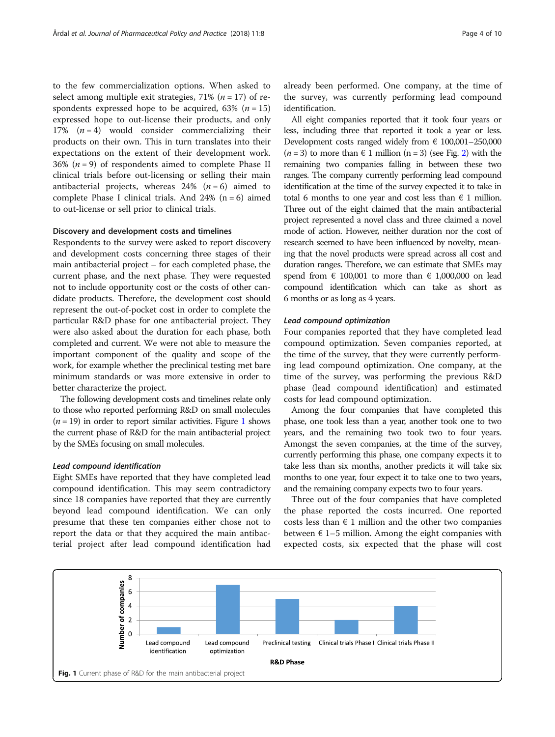to the few commercialization options. When asked to select among multiple exit strategies, 71% ( $n = 17$ ) of respondents expressed hope to be acquired, 63%  $(n = 15)$ expressed hope to out-license their products, and only 17%  $(n = 4)$  would consider commercializing their products on their own. This in turn translates into their expectations on the extent of their development work. 36%  $(n = 9)$  of respondents aimed to complete Phase II clinical trials before out-licensing or selling their main antibacterial projects, whereas  $24\%$  ( $n = 6$ ) aimed to complete Phase I clinical trials. And  $24\%$  (n = 6) aimed to out-license or sell prior to clinical trials.

# Discovery and development costs and timelines

Respondents to the survey were asked to report discovery and development costs concerning three stages of their main antibacterial project – for each completed phase, the current phase, and the next phase. They were requested not to include opportunity cost or the costs of other candidate products. Therefore, the development cost should represent the out-of-pocket cost in order to complete the particular R&D phase for one antibacterial project. They were also asked about the duration for each phase, both completed and current. We were not able to measure the important component of the quality and scope of the work, for example whether the preclinical testing met bare minimum standards or was more extensive in order to better characterize the project.

The following development costs and timelines relate only to those who reported performing R&D on small molecules  $(n = 19)$  in order to report similar activities. Figure 1 shows the current phase of R&D for the main antibacterial project by the SMEs focusing on small molecules.

## Lead compound identification

Eight SMEs have reported that they have completed lead compound identification. This may seem contradictory since 18 companies have reported that they are currently beyond lead compound identification. We can only presume that these ten companies either chose not to report the data or that they acquired the main antibacterial project after lead compound identification had

already been performed. One company, at the time of the survey, was currently performing lead compound identification.

All eight companies reported that it took four years or less, including three that reported it took a year or less. Development costs ranged widely from  $\epsilon$  100,001–250,000  $(n=3)$  to more than  $\epsilon$  1 million  $(n=3)$  (see Fig. [2](#page-4-0)) with the remaining two companies falling in between these two ranges. The company currently performing lead compound identification at the time of the survey expected it to take in total 6 months to one year and cost less than  $\epsilon$  1 million. Three out of the eight claimed that the main antibacterial project represented a novel class and three claimed a novel mode of action. However, neither duration nor the cost of research seemed to have been influenced by novelty, meaning that the novel products were spread across all cost and duration ranges. Therefore, we can estimate that SMEs may spend from  $\epsilon$  100,001 to more than  $\epsilon$  1,000,000 on lead compound identification which can take as short as 6 months or as long as 4 years.

## Lead compound optimization

Four companies reported that they have completed lead compound optimization. Seven companies reported, at the time of the survey, that they were currently performing lead compound optimization. One company, at the time of the survey, was performing the previous R&D phase (lead compound identification) and estimated costs for lead compound optimization.

Among the four companies that have completed this phase, one took less than a year, another took one to two years, and the remaining two took two to four years. Amongst the seven companies, at the time of the survey, currently performing this phase, one company expects it to take less than six months, another predicts it will take six months to one year, four expect it to take one to two years, and the remaining company expects two to four years.

Three out of the four companies that have completed the phase reported the costs incurred. One reported costs less than  $\epsilon$  1 million and the other two companies between  $\epsilon$  1–5 million. Among the eight companies with expected costs, six expected that the phase will cost

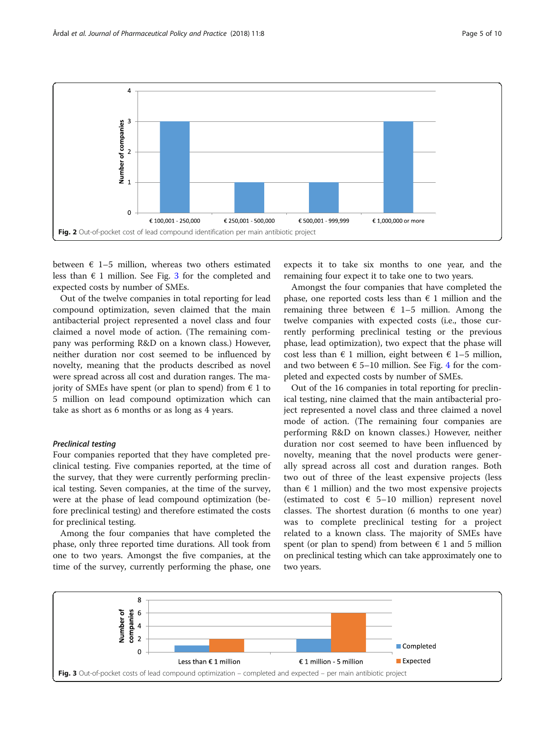<span id="page-4-0"></span>

between  $\epsilon$  1–5 million, whereas two others estimated less than  $\epsilon$  1 million. See Fig. 3 for the completed and expected costs by number of SMEs.

Out of the twelve companies in total reporting for lead compound optimization, seven claimed that the main antibacterial project represented a novel class and four claimed a novel mode of action. (The remaining company was performing R&D on a known class.) However, neither duration nor cost seemed to be influenced by novelty, meaning that the products described as novel were spread across all cost and duration ranges. The majority of SMEs have spent (or plan to spend) from  $\epsilon$  1 to 5 million on lead compound optimization which can take as short as 6 months or as long as 4 years.

# Preclinical testing

Four companies reported that they have completed preclinical testing. Five companies reported, at the time of the survey, that they were currently performing preclinical testing. Seven companies, at the time of the survey, were at the phase of lead compound optimization (before preclinical testing) and therefore estimated the costs for preclinical testing.

Among the four companies that have completed the phase, only three reported time durations. All took from one to two years. Amongst the five companies, at the time of the survey, currently performing the phase, one

expects it to take six months to one year, and the remaining four expect it to take one to two years.

Amongst the four companies that have completed the phase, one reported costs less than  $\epsilon$  1 million and the remaining three between  $\epsilon$  1–5 million. Among the twelve companies with expected costs (i.e., those currently performing preclinical testing or the previous phase, lead optimization), two expect that the phase will cost less than  $\epsilon$  1 million, eight between  $\epsilon$  1–5 million, and two between  $\epsilon$  5–10 million. See Fig. [4](#page-5-0) for the completed and expected costs by number of SMEs.

Out of the 16 companies in total reporting for preclinical testing, nine claimed that the main antibacterial project represented a novel class and three claimed a novel mode of action. (The remaining four companies are performing R&D on known classes.) However, neither duration nor cost seemed to have been influenced by novelty, meaning that the novel products were generally spread across all cost and duration ranges. Both two out of three of the least expensive projects (less than  $\epsilon$  1 million) and the two most expensive projects (estimated to cost  $\epsilon$  5-10 million) represent novel classes. The shortest duration (6 months to one year) was to complete preclinical testing for a project related to a known class. The majority of SMEs have spent (or plan to spend) from between  $\epsilon$  1 and 5 million on preclinical testing which can take approximately one to two years.

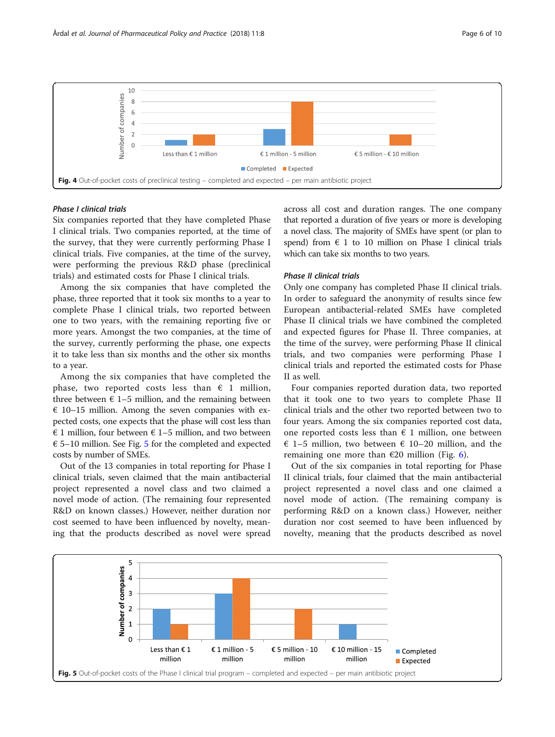<span id="page-5-0"></span>

# Phase I clinical trials

Six companies reported that they have completed Phase I clinical trials. Two companies reported, at the time of the survey, that they were currently performing Phase I clinical trials. Five companies, at the time of the survey, were performing the previous R&D phase (preclinical trials) and estimated costs for Phase I clinical trials.

Among the six companies that have completed the phase, three reported that it took six months to a year to complete Phase I clinical trials, two reported between one to two years, with the remaining reporting five or more years. Amongst the two companies, at the time of the survey, currently performing the phase, one expects it to take less than six months and the other six months to a year.

Among the six companies that have completed the phase, two reported costs less than  $\epsilon$  1 million, three between  $\epsilon$  1–5 million, and the remaining between  $\epsilon$  10–15 million. Among the seven companies with expected costs, one expects that the phase will cost less than € 1 million, four between  $€ 1-5$  million, and two between  $\epsilon$  5–10 million. See Fig. 5 for the completed and expected costs by number of SMEs.

Out of the 13 companies in total reporting for Phase I clinical trials, seven claimed that the main antibacterial project represented a novel class and two claimed a novel mode of action. (The remaining four represented R&D on known classes.) However, neither duration nor cost seemed to have been influenced by novelty, meaning that the products described as novel were spread across all cost and duration ranges. The one company that reported a duration of five years or more is developing a novel class. The majority of SMEs have spent (or plan to spend) from  $\epsilon$  1 to 10 million on Phase I clinical trials which can take six months to two years.

# Phase II clinical trials

Only one company has completed Phase II clinical trials. In order to safeguard the anonymity of results since few European antibacterial-related SMEs have completed Phase II clinical trials we have combined the completed and expected figures for Phase II. Three companies, at the time of the survey, were performing Phase II clinical trials, and two companies were performing Phase I clinical trials and reported the estimated costs for Phase II as well.

Four companies reported duration data, two reported that it took one to two years to complete Phase II clinical trials and the other two reported between two to four years. Among the six companies reported cost data, one reported costs less than  $\epsilon$  1 million, one between € 1–5 million, two between € 10–20 million, and the remaining one more than  $\epsilon$ 20 million (Fig. [6\)](#page-6-0).

Out of the six companies in total reporting for Phase II clinical trials, four claimed that the main antibacterial project represented a novel class and one claimed a novel mode of action. (The remaining company is performing R&D on a known class.) However, neither duration nor cost seemed to have been influenced by novelty, meaning that the products described as novel

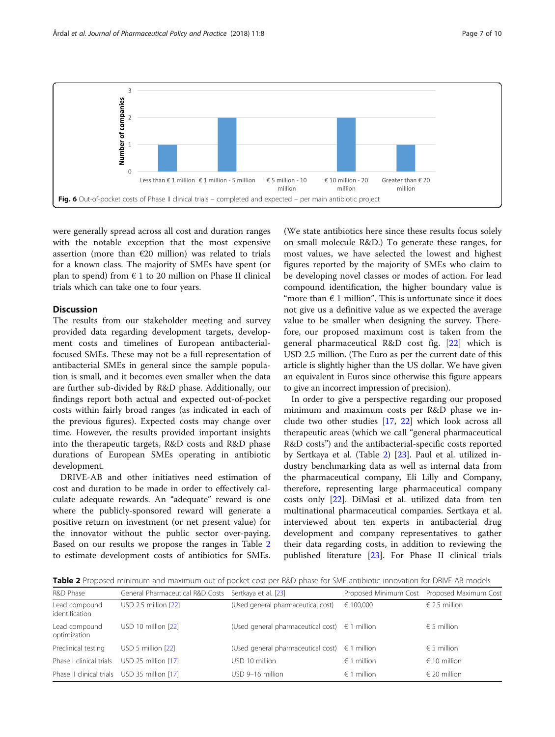<span id="page-6-0"></span>

were generally spread across all cost and duration ranges with the notable exception that the most expensive assertion (more than  $E20$  million) was related to trials for a known class. The majority of SMEs have spent (or plan to spend) from  $\epsilon$  1 to 20 million on Phase II clinical trials which can take one to four years.

# **Discussion**

The results from our stakeholder meeting and survey provided data regarding development targets, development costs and timelines of European antibacterialfocused SMEs. These may not be a full representation of antibacterial SMEs in general since the sample population is small, and it becomes even smaller when the data are further sub-divided by R&D phase. Additionally, our findings report both actual and expected out-of-pocket costs within fairly broad ranges (as indicated in each of the previous figures). Expected costs may change over time. However, the results provided important insights into the therapeutic targets, R&D costs and R&D phase durations of European SMEs operating in antibiotic development.

DRIVE-AB and other initiatives need estimation of cost and duration to be made in order to effectively calculate adequate rewards. An "adequate" reward is one where the publicly-sponsored reward will generate a positive return on investment (or net present value) for the innovator without the public sector over-paying. Based on our results we propose the ranges in Table 2 to estimate development costs of antibiotics for SMEs.

(We state antibiotics here since these results focus solely on small molecule R&D.) To generate these ranges, for most values, we have selected the lowest and highest figures reported by the majority of SMEs who claim to be developing novel classes or modes of action. For lead compound identification, the higher boundary value is "more than  $\epsilon$  1 million". This is unfortunate since it does not give us a definitive value as we expected the average value to be smaller when designing the survey. Therefore, our proposed maximum cost is taken from the general pharmaceutical R&D cost fig. [[22\]](#page-9-0) which is USD 2.5 million. (The Euro as per the current date of this article is slightly higher than the US dollar. We have given an equivalent in Euros since otherwise this figure appears to give an incorrect impression of precision).

In order to give a perspective regarding our proposed minimum and maximum costs per R&D phase we include two other studies [\[17](#page-9-0), [22\]](#page-9-0) which look across all therapeutic areas (which we call "general pharmaceutical R&D costs") and the antibacterial-specific costs reported by Sertkaya et al. (Table 2) [[23](#page-9-0)]. Paul et al. utilized industry benchmarking data as well as internal data from the pharmaceutical company, Eli Lilly and Company, therefore, representing large pharmaceutical company costs only [\[22\]](#page-9-0). DiMasi et al. utilized data from ten multinational pharmaceutical companies. Sertkaya et al. interviewed about ten experts in antibacterial drug development and company representatives to gather their data regarding costs, in addition to reviewing the published literature [[23\]](#page-9-0). For Phase II clinical trials

Table 2 Proposed minimum and maximum out-of-pocket cost per R&D phase for SME antibiotic innovation for DRIVE-AB models

| R&D Phase                                    | General Pharmaceutical R&D Costs | Sertkaya et al. [23]                                    | Proposed Minimum Cost | Proposed Maximum Cost  |
|----------------------------------------------|----------------------------------|---------------------------------------------------------|-----------------------|------------------------|
| Lead compound<br>identification              | USD 2.5 million [22]             | (Used general pharmaceutical cost)                      | € 100,000             | $\epsilon$ 2.5 million |
| Lead compound<br>optimization                | USD 10 million [22]              | (Used general pharmaceutical cost) $\epsilon$ 1 million |                       | $\epsilon$ 5 million   |
| Preclinical testing                          | USD 5 million [22]               | (Used general pharmaceutical cost) $\epsilon$ 1 million |                       | $\epsilon$ 5 million   |
| Phase I clinical trials                      | USD 25 million [17]              | USD 10 million                                          | $\epsilon$ 1 million  | $\epsilon$ 10 million  |
| Phase II clinical trials USD 35 million [17] |                                  | USD 9-16 million                                        | $\epsilon$ 1 million  | $\epsilon$ 20 million  |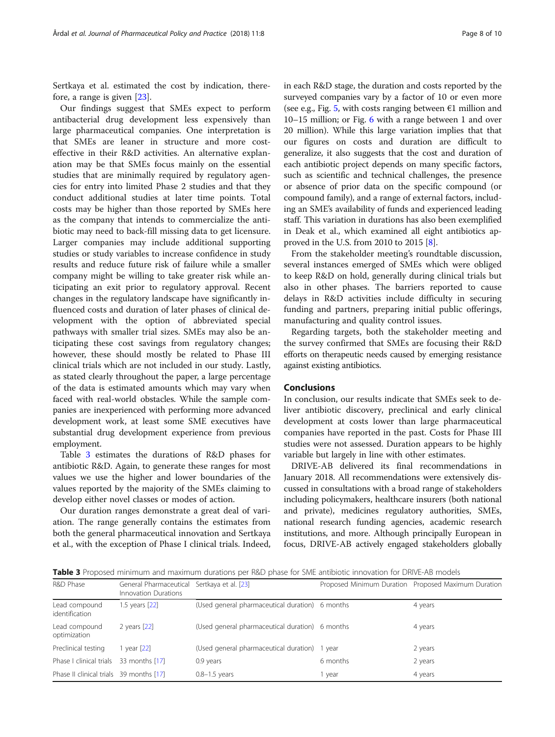Sertkaya et al. estimated the cost by indication, therefore, a range is given [[23](#page-9-0)].

Our findings suggest that SMEs expect to perform antibacterial drug development less expensively than large pharmaceutical companies. One interpretation is that SMEs are leaner in structure and more costeffective in their R&D activities. An alternative explanation may be that SMEs focus mainly on the essential studies that are minimally required by regulatory agencies for entry into limited Phase 2 studies and that they conduct additional studies at later time points. Total costs may be higher than those reported by SMEs here as the company that intends to commercialize the antibiotic may need to back-fill missing data to get licensure. Larger companies may include additional supporting studies or study variables to increase confidence in study results and reduce future risk of failure while a smaller company might be willing to take greater risk while anticipating an exit prior to regulatory approval. Recent changes in the regulatory landscape have significantly influenced costs and duration of later phases of clinical development with the option of abbreviated special pathways with smaller trial sizes. SMEs may also be anticipating these cost savings from regulatory changes; however, these should mostly be related to Phase III clinical trials which are not included in our study. Lastly, as stated clearly throughout the paper, a large percentage of the data is estimated amounts which may vary when faced with real-world obstacles. While the sample companies are inexperienced with performing more advanced development work, at least some SME executives have substantial drug development experience from previous employment.

Table 3 estimates the durations of R&D phases for antibiotic R&D. Again, to generate these ranges for most values we use the higher and lower boundaries of the values reported by the majority of the SMEs claiming to develop either novel classes or modes of action.

Our duration ranges demonstrate a great deal of variation. The range generally contains the estimates from both the general pharmaceutical innovation and Sertkaya et al., with the exception of Phase I clinical trials. Indeed, in each R&D stage, the duration and costs reported by the surveyed companies vary by a factor of 10 or even more (see e.g., Fig. [5,](#page-5-0) with costs ranging between  $\epsilon$ 1 million and 10–15 million; or Fig. [6](#page-6-0) with a range between 1 and over 20 million). While this large variation implies that that our figures on costs and duration are difficult to generalize, it also suggests that the cost and duration of each antibiotic project depends on many specific factors, such as scientific and technical challenges, the presence or absence of prior data on the specific compound (or compound family), and a range of external factors, including an SME's availability of funds and experienced leading staff. This variation in durations has also been exemplified in Deak et al., which examined all eight antibiotics approved in the U.S. from 2010 to 2015 [[8\]](#page-8-0).

From the stakeholder meeting's roundtable discussion, several instances emerged of SMEs which were obliged to keep R&D on hold, generally during clinical trials but also in other phases. The barriers reported to cause delays in R&D activities include difficulty in securing funding and partners, preparing initial public offerings, manufacturing and quality control issues.

Regarding targets, both the stakeholder meeting and the survey confirmed that SMEs are focusing their R&D efforts on therapeutic needs caused by emerging resistance against existing antibiotics.

## Conclusions

In conclusion, our results indicate that SMEs seek to deliver antibiotic discovery, preclinical and early clinical development at costs lower than large pharmaceutical companies have reported in the past. Costs for Phase III studies were not assessed. Duration appears to be highly variable but largely in line with other estimates.

DRIVE-AB delivered its final recommendations in January 2018. All recommendations were extensively discussed in consultations with a broad range of stakeholders including policymakers, healthcare insurers (both national and private), medicines regulatory authorities, SMEs, national research funding agencies, academic research institutions, and more. Although principally European in focus, DRIVE-AB actively engaged stakeholders globally

Table 3 Proposed minimum and maximum durations per R&D phase for SME antibiotic innovation for DRIVE-AB models

| R&D Phase                               | General Pharmaceutical<br>Innovation Durations | Sertkaya et al. [23]                            |          | Proposed Minimum Duration Proposed Maximum Duration |
|-----------------------------------------|------------------------------------------------|-------------------------------------------------|----------|-----------------------------------------------------|
| Lead compound<br>identification         | 1.5 years [22]                                 | (Used general pharmaceutical duration) 6 months |          | 4 years                                             |
| Lead compound<br>optimization           | 2 years $[22]$                                 | (Used general pharmaceutical duration) 6 months |          | 4 years                                             |
| Preclinical testing                     | I year [22]                                    | (Used general pharmaceutical duration)          | 1 vear   | 2 years                                             |
| Phase I clinical trials 33 months [17]  |                                                | 0.9 years                                       | 6 months | 2 years                                             |
| Phase II clinical trials 39 months [17] |                                                | $0.8 - 1.5$ years                               | l year   | 4 years                                             |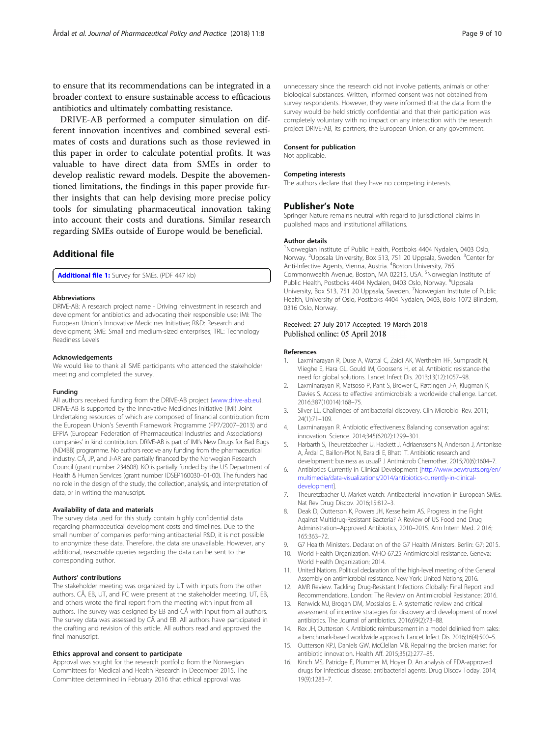<span id="page-8-0"></span>to ensure that its recommendations can be integrated in a broader context to ensure sustainable access to efficacious antibiotics and ultimately combatting resistance.

DRIVE-AB performed a computer simulation on different innovation incentives and combined several estimates of costs and durations such as those reviewed in this paper in order to calculate potential profits. It was valuable to have direct data from SMEs in order to develop realistic reward models. Despite the abovementioned limitations, the findings in this paper provide further insights that can help devising more precise policy tools for simulating pharmaceutical innovation taking into account their costs and durations. Similar research regarding SMEs outside of Europe would be beneficial.

# Additional file

[Additional file 1:](https://doi.org/10.1186/s40545-018-0135-0) Survey for SMEs. (PDF 447 kb)

#### **Abbreviations**

DRIVE-AB: A research project name - Driving reinvestment in research and development for antibiotics and advocating their responsible use; IMI: The European Union's Innovative Medicines Initiative; R&D: Research and development; SME: Small and medium-sized enterprises; TRL: Technology Readiness Levels

#### Acknowledgements

We would like to thank all SME participants who attended the stakeholder meeting and completed the survey.

#### Funding

All authors received funding from the DRIVE-AB project [\(www.drive-ab.eu\)](http://www.drive-ab.eu). DRIVE-AB is supported by the Innovative Medicines Initiative (IMI) Joint Undertaking resources of which are composed of financial contribution from the European Union's Seventh Framework Programme (FP7/2007–2013) and EFPIA (European Federation of Pharmaceutical Industries and Associations) companies' in kind contribution. DRIVE-AB is part of IMI's New Drugs for Bad Bugs (ND4BB) programme. No authors receive any funding from the pharmaceutical industry. CÅ, JP, and J-AR are partially financed by the Norwegian Research Council (grant number 234608). KO is partially funded by the US Department of Health & Human Services (grant number IDSEP160030–01-00). The funders had no role in the design of the study, the collection, analysis, and interpretation of data, or in writing the manuscript.

# Availability of data and materials

The survey data used for this study contain highly confidential data regarding pharmaceutical development costs and timelines. Due to the small number of companies performing antibacterial R&D, it is not possible to anonymize these data. Therefore, the data are unavailable. However, any additional, reasonable queries regarding the data can be sent to the corresponding author.

#### Authors' contributions

The stakeholder meeting was organized by UT with inputs from the other authors. CÅ, EB, UT, and FC were present at the stakeholder meeting. UT, EB, and others wrote the final report from the meeting with input from all authors. The survey was designed by EB and CÅ with input from all authors. The survey data was assessed by CÅ and EB. All authors have participated in the drafting and revision of this article. All authors read and approved the final manuscript.

#### Ethics approval and consent to participate

Approval was sought for the research portfolio from the Norwegian Committees for Medical and Health Research in December 2015. The Committee determined in February 2016 that ethical approval was

unnecessary since the research did not involve patients, animals or other biological substances. Written, informed consent was not obtained from survey respondents. However, they were informed that the data from the survey would be held strictly confidential and that their participation was completely voluntary with no impact on any interaction with the research project DRIVE-AB, its partners, the European Union, or any government.

## Consent for publication

Not applicable.

#### Competing interests

The authors declare that they have no competing interests.

#### Publisher's Note

Springer Nature remains neutral with regard to jurisdictional claims in published maps and institutional affiliations.

#### Author details

<sup>1</sup>Norwegian Institute of Public Health, Postboks 4404 Nydalen, 0403 Oslo Norway.<sup>2</sup>Uppsala University, Box 513, 751 20 Uppsala, Sweden.<sup>3</sup>Center for Anti-Infective Agents, Vienna, Austria. <sup>4</sup>Boston University, 765 Commonwealth Avenue, Boston, MA 02215, USA. <sup>5</sup>Norwegian Institute of Public Health, Postboks 4404 Nydalen, 0403 Oslo, Norway. <sup>6</sup>Uppsala University, Box 513, 751 20 Uppsala, Sweden. <sup>7</sup>Norwegian Institute of Public Health, University of Oslo, Postboks 4404 Nydalen, 0403, Boks 1072 Blindern, 0316 Oslo, Norway.

# Received: 27 July 2017 Accepted: 19 March 2018 Published online: 05 April 2018

#### References

- Laxminarayan R, Duse A, Wattal C, Zaidi AK, Wertheim HF, Sumpradit N, Vlieghe E, Hara GL, Gould IM, Goossens H, et al. Antibiotic resistance-the need for global solutions. Lancet Infect Dis. 2013;13(12):1057–98.
- 2. Laxminarayan R, Matsoso P, Pant S, Brower C, Røttingen J-A, Klugman K, Davies S. Access to effective antimicrobials: a worldwide challenge. Lancet. 2016;387(10014):168–75.
- 3. Silver LL. Challenges of antibacterial discovery. Clin Microbiol Rev. 2011; 24(1):71–109.
- 4. Laxminarayan R. Antibiotic effectiveness: Balancing conservation against innovation. Science. 2014;345(6202):1299–301.
- 5. Harbarth S, Theuretzbacher U, Hackett J, Adriaenssens N, Anderson J, Antonisse A, Årdal C, Baillon-Plot N, Baraldi E, Bhatti T. Antibiotic research and development: business as usual? J Antimicrob Chemother. 2015;70(6):1604–7.
- 6. Antibiotics Currently in Clinical Development [\[http://www.pewtrusts.org/en/](http://www.pewtrusts.org/en/multimedia/data-visualizations/2014/antibiotics-currently-in-clinical-development) [multimedia/data-visualizations/2014/antibiotics-currently-in-clinical](http://www.pewtrusts.org/en/multimedia/data-visualizations/2014/antibiotics-currently-in-clinical-development)[development\]](http://www.pewtrusts.org/en/multimedia/data-visualizations/2014/antibiotics-currently-in-clinical-development).
- 7. Theuretzbacher U. Market watch: Antibacterial innovation in European SMEs. Nat Rev Drug Discov. 2016;15:812–3.
- 8. Deak D, Outterson K, Powers JH, Kesselheim AS. Progress in the Fight Against Multidrug-Resistant Bacteria? A Review of US Food and Drug Administration–Approved Antibiotics, 2010–2015. Ann Intern Med. 2 016; 165:363–72.
- 9. G7 Health Ministers. Declaration of the G7 Health Ministers. Berlin: G7; 2015.
- 10. World Health Organization. WHO 67.25 Antimicrobial resistance. Geneva: World Health Organization; 2014.
- 11. United Nations. Political declaration of the high-level meeting of the General Assembly on antimicrobial resistance. New York: United Nations; 2016.
- 12. AMR Review. Tackling Drug-Resistant Infections Globally: Final Report and Recommendations. London: The Review on Antimicrobial Resistance; 2016.
- 13. Renwick MJ, Brogan DM, Mossialos E. A systematic review and critical assessment of incentive strategies for discovery and development of novel antibiotics. The Journal of antibiotics. 2016;69(2):73–88.
- 14. Rex JH, Outterson K. Antibiotic reimbursement in a model delinked from sales: a benchmark-based worldwide approach. Lancet Infect Dis. 2016;16(4):500–5.
- 15. Outterson KPJ, Daniels GW, McClellan MB. Repairing the broken market for antibiotic innovation. Health Aff. 2015;35(2):277–85.
- 16. Kinch MS, Patridge E, Plummer M, Hoyer D. An analysis of FDA-approved drugs for infectious disease: antibacterial agents. Drug Discov Today. 2014; 19(9):1283–7.